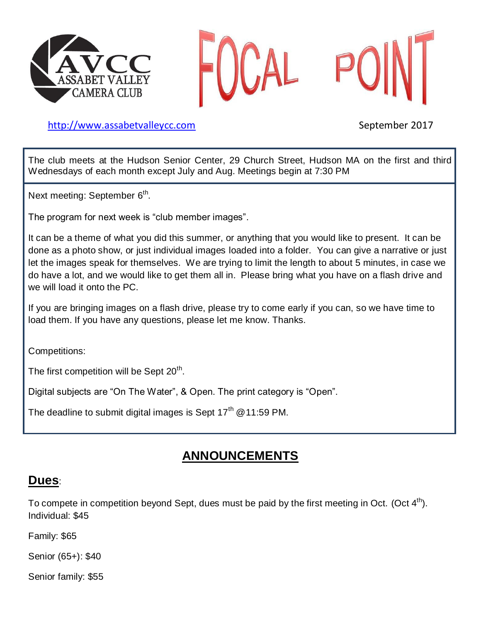



[http://www.assabetvalleyc](http://www.assabetvalley/)c.com September 2017

The club meets at the Hudson Senior Center, 29 Church Street, Hudson MA on the first and third Wednesdays of each month except July and Aug. Meetings begin at 7:30 PM

Next meeting: September 6<sup>th</sup>.

The program for next week is "club member images".

It can be a theme of what you did this summer, or anything that you would like to present. It can be done as a photo show, or just individual images loaded into a folder. You can give a narrative or just let the images speak for themselves. We are trying to limit the length to about 5 minutes, in case we do have a lot, and we would like to get them all in. Please bring what you have on a flash drive and we will load it onto the PC.

If you are bringing images on a flash drive, please try to come early if you can, so we have time to load them. If you have any questions, please let me know. Thanks.

Competitions:

The first competition will be Sept  $20<sup>th</sup>$ .

Digital subjects are "On The Water", & Open. The print category is "Open".

The deadline to submit digital images is Sept  $17<sup>th</sup>$  @ 11:59 PM.

# **ANNOUNCEMENTS**

# **Dues**:

To compete in competition beyond Sept, dues must be paid by the first meeting in Oct. (Oct  $4<sup>th</sup>$ ). Individual: \$45

Family: \$65

Senior (65+): \$40

Senior family: \$55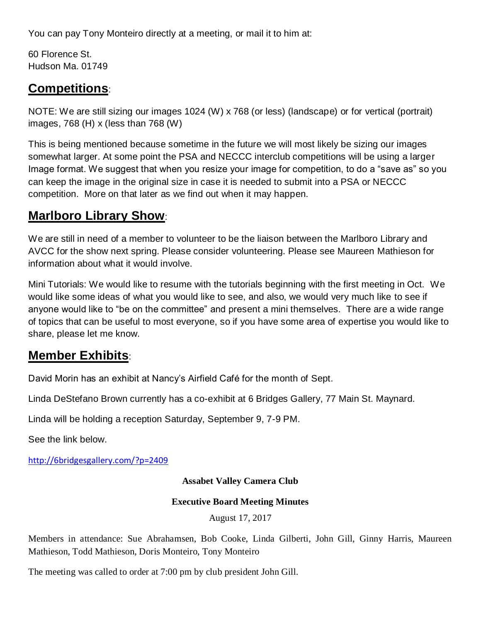You can pay Tony Monteiro directly at a meeting, or mail it to him at:

60 Florence St. Hudson Ma. 01749

# **Competitions**:

NOTE: We are still sizing our images 1024 (W) x 768 (or less) (landscape) or for vertical (portrait) images, 768 (H) x (less than 768 (W)

This is being mentioned because sometime in the future we will most likely be sizing our images somewhat larger. At some point the PSA and NECCC interclub competitions will be using a larger Image format. We suggest that when you resize your image for competition, to do a "save as" so you can keep the image in the original size in case it is needed to submit into a PSA or NECCC competition. More on that later as we find out when it may happen.

# **Marlboro Library Show**:

We are still in need of a member to volunteer to be the liaison between the Marlboro Library and AVCC for the show next spring. Please consider volunteering. Please see Maureen Mathieson for information about what it would involve.

Mini Tutorials: We would like to resume with the tutorials beginning with the first meeting in Oct. We would like some ideas of what you would like to see, and also, we would very much like to see if anyone would like to "be on the committee" and present a mini themselves. There are a wide range of topics that can be useful to most everyone, so if you have some area of expertise you would like to share, please let me know.

# **Member Exhibits**:

David Morin has an exhibit at Nancy's Airfield Café for the month of Sept.

Linda DeStefano Brown currently has a co-exhibit at 6 Bridges Gallery, 77 Main St. Maynard.

Linda will be holding a reception Saturday, September 9, 7-9 PM.

See the link below.

<http://6bridgesgallery.com/?p=2409>

**Assabet Valley Camera Club**

### **Executive Board Meeting Minutes**

August 17, 2017

Members in attendance: Sue Abrahamsen, Bob Cooke, Linda Gilberti, John Gill, Ginny Harris, Maureen Mathieson, Todd Mathieson, Doris Monteiro, Tony Monteiro

The meeting was called to order at 7:00 pm by club president John Gill.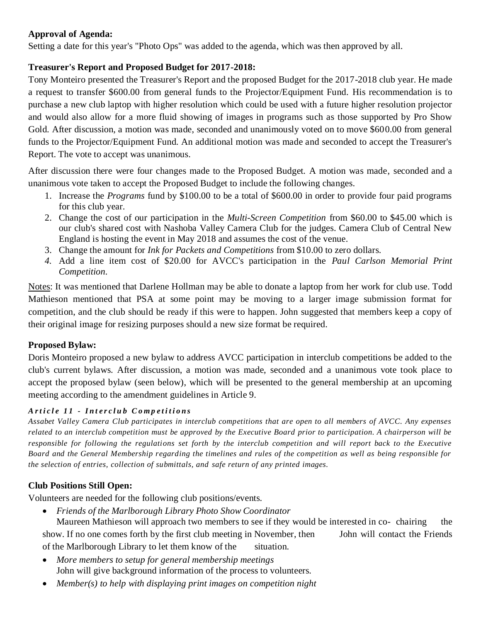### **Approval of Agenda:**

Setting a date for this year's "Photo Ops" was added to the agenda, which was then approved by all.

## **Treasurer's Report and Proposed Budget for 2017-2018:**

Tony Monteiro presented the Treasurer's Report and the proposed Budget for the 2017-2018 club year. He made a request to transfer \$600.00 from general funds to the Projector/Equipment Fund. His recommendation is to purchase a new club laptop with higher resolution which could be used with a future higher resolution projector and would also allow for a more fluid showing of images in programs such as those supported by Pro Show Gold. After discussion, a motion was made, seconded and unanimously voted on to move \$600.00 from general funds to the Projector/Equipment Fund. An additional motion was made and seconded to accept the Treasurer's Report. The vote to accept was unanimous.

After discussion there were four changes made to the Proposed Budget. A motion was made, seconded and a unanimous vote taken to accept the Proposed Budget to include the following changes.

- 1. Increase the *Programs* fund by \$100.00 to be a total of \$600.00 in order to provide four paid programs for this club year.
- 2. Change the cost of our participation in the *Multi-Screen Competition* from \$60.00 to \$45.00 which is our club's shared cost with Nashoba Valley Camera Club for the judges. Camera Club of Central New England is hosting the event in May 2018 and assumes the cost of the venue.
- 3. Change the amount for *Ink for Packets and Competitions* from \$10.00 to zero dollars.
- *4.* Add a line item cost of \$20.00 for AVCC's participation in the *Paul Carlson Memorial Print Competition.*

Notes: It was mentioned that Darlene Hollman may be able to donate a laptop from her work for club use. Todd Mathieson mentioned that PSA at some point may be moving to a larger image submission format for competition, and the club should be ready if this were to happen. John suggested that members keep a copy of their original image for resizing purposes should a new size format be required.

## **Proposed Bylaw:**

Doris Monteiro proposed a new bylaw to address AVCC participation in interclub competitions be added to the club's current bylaws. After discussion, a motion was made, seconded and a unanimous vote took place to accept the proposed bylaw (seen below), which will be presented to the general membership at an upcoming meeting according to the amendment guidelines in Article 9.

### *A r t i c l e 1 1 - I n t e r c l u b C o m p e t i t i o n s*

*Assabet Valley Camera Club participates in interclub competitions that are open to all members of AVCC. Any expenses related to an interclub competition must be approved by the Executive Board prior to participation. A chairperson will be responsible for following the regulations set forth by the interclub competition and will report back to the Executive Board and the General Membership regarding the timelines and rules of the competition as well as being responsible for the selection of entries, collection of submittals, and safe return of any printed images.*

## **Club Positions Still Open:**

Volunteers are needed for the following club positions/events.

*Friends of the Marlborough Library Photo Show Coordinator* 

Maureen Mathieson will approach two members to see if they would be interested in co- chairing the show. If no one comes forth by the first club meeting in November, then John will contact the Friends of the Marlborough Library to let them know of the situation.

- *More members to setup for general membership meetings* John will give background information of the process to volunteers.
- *Member(s) to help with displaying print images on competition night*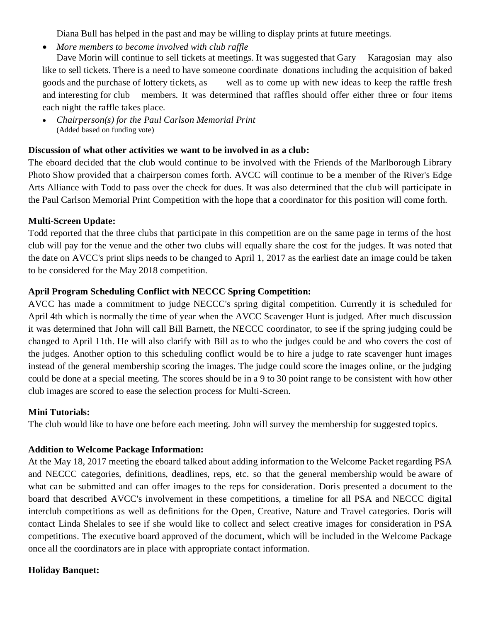Diana Bull has helped in the past and may be willing to display prints at future meetings.

*More members to become involved with club raffle*

Dave Morin will continue to sell tickets at meetings. It was suggested that Gary Karagosian may also like to sell tickets. There is a need to have someone coordinate donations including the acquisition of baked goods and the purchase of lottery tickets, as well as to come up with new ideas to keep the raffle fresh and interesting for club members. It was determined that raffles should offer either three or four items each night the raffle takes place.

 *Chairperson(s) for the Paul Carlson Memorial Print* (Added based on funding vote)

### **Discussion of what other activities we want to be involved in as a club:**

The eboard decided that the club would continue to be involved with the Friends of the Marlborough Library Photo Show provided that a chairperson comes forth. AVCC will continue to be a member of the River's Edge Arts Alliance with Todd to pass over the check for dues. It was also determined that the club will participate in the Paul Carlson Memorial Print Competition with the hope that a coordinator for this position will come forth.

### **Multi-Screen Update:**

Todd reported that the three clubs that participate in this competition are on the same page in terms of the host club will pay for the venue and the other two clubs will equally share the cost for the judges. It was noted that the date on AVCC's print slips needs to be changed to April 1, 2017 as the earliest date an image could be taken to be considered for the May 2018 competition.

### **April Program Scheduling Conflict with NECCC Spring Competition:**

AVCC has made a commitment to judge NECCC's spring digital competition. Currently it is scheduled for April 4th which is normally the time of year when the AVCC Scavenger Hunt is judged. After much discussion it was determined that John will call Bill Barnett, the NECCC coordinator, to see if the spring judging could be changed to April 11th. He will also clarify with Bill as to who the judges could be and who covers the cost of the judges. Another option to this scheduling conflict would be to hire a judge to rate scavenger hunt images instead of the general membership scoring the images. The judge could score the images online, or the judging could be done at a special meeting. The scores should be in a 9 to 30 point range to be consistent with how other club images are scored to ease the selection process for Multi-Screen.

## **Mini Tutorials:**

The club would like to have one before each meeting. John will survey the membership for suggested topics.

## **Addition to Welcome Package Information:**

At the May 18, 2017 meeting the eboard talked about adding information to the Welcome Packet regarding PSA and NECCC categories, definitions, deadlines, reps, etc. so that the general membership would be aware of what can be submitted and can offer images to the reps for consideration. Doris presented a document to the board that described AVCC's involvement in these competitions, a timeline for all PSA and NECCC digital interclub competitions as well as definitions for the Open, Creative, Nature and Travel categories. Doris will contact Linda Shelales to see if she would like to collect and select creative images for consideration in PSA competitions. The executive board approved of the document, which will be included in the Welcome Package once all the coordinators are in place with appropriate contact information.

## **Holiday Banquet:**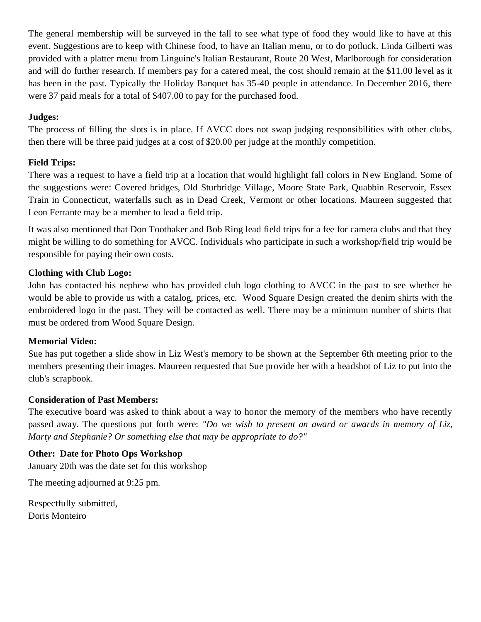The general membership will be surveyed in the fall to see what type of food they would like to have at this event. Suggestions are to keep with Chinese food, to have an Italian menu, or to do potluck. Linda Gilberti was provided with a platter menu from Linguine's Italian Restaurant, Route 20 West, Marlborough for consideration and will do further research. If members pay for a catered meal, the cost should remain at the \$11.00 level as it has been in the past. Typically the Holiday Banquet has 35-40 people in attendance. In December 2016, there were 37 paid meals for a total of \$407.00 to pay for the purchased food.

### **Judges:**

The process of filling the slots is in place. If AVCC does not swap judging responsibilities with other clubs, then there will be three paid judges at a cost of \$20.00 per judge at the monthly competition.

## **Field Trips:**

There was a request to have a field trip at a location that would highlight fall colors in New England. Some of the suggestions were: Covered bridges, Old Sturbridge Village, Moore State Park, Quabbin Reservoir, Essex Train in Connecticut, waterfalls such as in Dead Creek, Vermont or other locations. Maureen suggested that Leon Ferrante may be a member to lead a field trip.

It was also mentioned that Don Toothaker and Bob Ring lead field trips for a fee for camera clubs and that they might be willing to do something for AVCC. Individuals who participate in such a workshop/field trip would be responsible for paying their own costs.

### **Clothing with Club Logo:**

John has contacted his nephew who has provided club logo clothing to AVCC in the past to see whether he would be able to provide us with a catalog, prices, etc. Wood Square Design created the denim shirts with the embroidered logo in the past. They will be contacted as well. There may be a minimum number of shirts that must be ordered from Wood Square Design.

### **Memorial Video:**

Sue has put together a slide show in Liz West's memory to be shown at the September 6th meeting prior to the members presenting their images. Maureen requested that Sue provide her with a headshot of Liz to put into the club's scrapbook.

### **Consideration of Past Members:**

The executive board was asked to think about a way to honor the memory of the members who have recently passed away. The questions put forth were: *"Do we wish to present an award or awards in memory of Liz, Marty and Stephanie? Or something else that may be appropriate to do?"*

### **Other: Date for Photo Ops Workshop**

January 20th was the date set for this workshop

The meeting adjourned at 9:25 pm.

Respectfully submitted, Doris Monteiro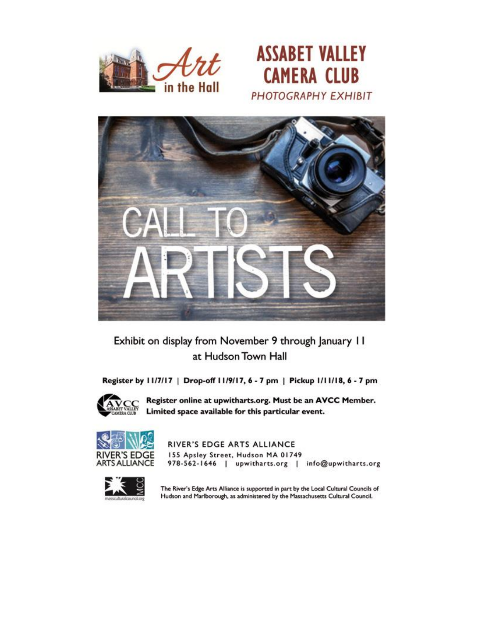





# Exhibit on display from November 9 through January 11 at Hudson Town Hall

Register by 11/7/17 | Drop-off 11/9/17, 6 - 7 pm | Pickup 1/11/18, 6 - 7 pm



Register online at upwitharts.org. Must be an AVCC Member. Limited space available for this particular event.



RIVER'S EDGE ARTS ALLIANCE 155 Apsley Street, Hudson MA 01749 978-562-1646 | upwitharts.org | info@upwitharts.org



The River's Edge Arts Alliance is supported in part by the Local Cultural Councils of Hudson and Marlborough, as administered by the Massachusetts Cultural Council.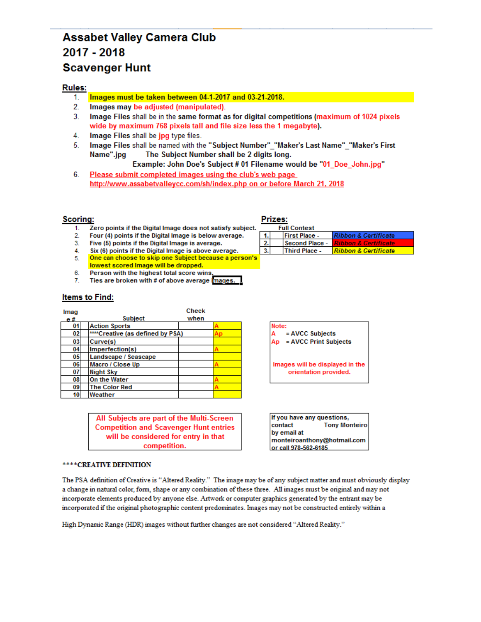# **Assabet Valley Camera Club** 2017 - 2018 **Scavenger Hunt**

#### **Rules:**

- Images must be taken between 04-1-2017 and 03-21-2018. 1.
- $2.$ Images may be adjusted (manipulated).
- $3<sub>1</sub>$ Image Files shall be in the same format as for digital competitions (maximum of 1024 pixels wide by maximum 768 pixels tall and file size less the 1 megabyte).
- 4. Image Files shall be jpg type files.
- 5. Image Files shall be named with the "Subject Number" "Maker's Last Name" "Maker's First Name".jpg The Subject Number shall be 2 digits long.

Example: John Doe's Subject # 01 Filename would be "01\_Doe\_John.jpg"

6. Please submit completed images using the club's web page http://www.assabetvalleycc.com/sh/index.php on or before March 21, 2018

#### **Scoring:**

- Zero points if the Digital Image does not satisfy subject.  $1<sup>1</sup>$
- $2.$ Four (4) points if the Digital Image is below average.
- Five (5) points if the Digital Image is average.  $3.$
- Six (6) points if the Digital Image is above average.  $4.$
- One can choose to skip one Subject because a person's 5.
- lowest scored Image will be dropped. 6.
- Person with the highest total score wins  $7.$ Ties are broken with # of above average images.

#### **Items to Find:**

| Imag |                                  | <b>Check</b> |  |
|------|----------------------------------|--------------|--|
| e#   | <b>Subject</b>                   | when         |  |
| 01   | <b>Action Sports</b>             |              |  |
| 02   | ****Creative (as defined by PSA) |              |  |
| 03   | Curve(s)                         |              |  |
| 04   | Imperfection(s)                  |              |  |
| 05   | Landscape / Seascape             |              |  |
| 06   | Macro / Close Up                 |              |  |
| 07   | <b>Night Sky</b>                 |              |  |
| 08   | On the Water                     |              |  |
| 09   | <b>The Color Red</b>             |              |  |
| 10   | Weather                          |              |  |

All Subjects are part of the Multi-Screen **Competition and Scavenger Hunt entries** will be considered for entry in that competition.

#### \*\*\*\* CREATIVE DEFINITION

The PSA definition of Creative is "Altered Reality." The image may be of any subject matter and must obviously display a change in natural color, form, shape or any combination of these three. All images must be original and may not incorporate elements produced by anyone else. Artwork or computer graphics generated by the entrant may be incorporated if the original photographic content predominates. Images may not be constructed entirely within a

High Dynamic Range (HDR) images without further changes are not considered "Altered Reality."

#### Prizes:

|  | <b>Full Contest</b>  |                                    |
|--|----------------------|------------------------------------|
|  | <b>First Place -</b> | <b>Ribbon &amp; Certificate</b>    |
|  | Second Place -       | <u> I Ribbon &amp; Certificate</u> |
|  | <b>Third Place -</b> | <b>Ribbon &amp; Certificate</b>    |

Note: = AVCC Subjects = AVCC Print Subjects Ap

Images will be displayed in the orientation provided.

If you have any questions, contact **Tony Monteiro** by email at monteiroanthony@hotmail.com or call 978-562-6185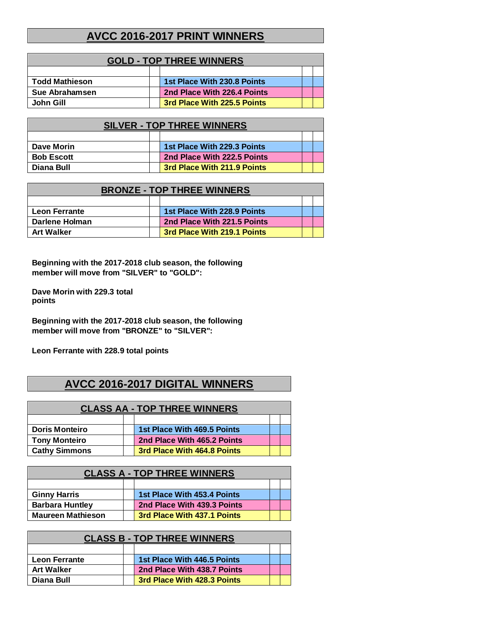## **AVCC 2016-2017 PRINT WINNERS**

| <b>GOLD - TOP THREE WINNERS</b>                 |  |                             |  |  |  |
|-------------------------------------------------|--|-----------------------------|--|--|--|
|                                                 |  |                             |  |  |  |
| <b>Todd Mathieson</b>                           |  | 1st Place With 230.8 Points |  |  |  |
| Sue Abrahamsen                                  |  | 2nd Place With 226.4 Points |  |  |  |
| 3rd Place With 225.5 Points<br><b>John Gill</b> |  |                             |  |  |  |

| <b>SILVER - TOP THREE WINNERS</b>         |  |                             |  |  |  |
|-------------------------------------------|--|-----------------------------|--|--|--|
|                                           |  |                             |  |  |  |
| Dave Morin                                |  | 1st Place With 229.3 Points |  |  |  |
| <b>Bob Escott</b>                         |  | 2nd Place With 222.5 Points |  |  |  |
| 3rd Place With 211.9 Points<br>Diana Bull |  |                             |  |  |  |

| <b>BRONZE - TOP THREE WINNERS</b> |  |                             |  |  |  |
|-----------------------------------|--|-----------------------------|--|--|--|
|                                   |  |                             |  |  |  |
| <b>Leon Ferrante</b>              |  | 1st Place With 228.9 Points |  |  |  |
| Darlene Holman                    |  | 2nd Place With 221.5 Points |  |  |  |
| <b>Art Walker</b>                 |  | 3rd Place With 219.1 Points |  |  |  |

**Beginning with the 2017-2018 club season, the following member will move from "SILVER" to "GOLD":**

**Dave Morin with 229.3 total points**

**Beginning with the 2017-2018 club season, the following member will move from "BRONZE" to "SILVER":**

**Leon Ferrante with 228.9 total points**

# **AVCC 2016-2017 DIGITAL WINNERS**

| <b>CLASS AA - TOP THREE WINNERS</b> |  |                             |  |  |  |
|-------------------------------------|--|-----------------------------|--|--|--|
|                                     |  |                             |  |  |  |
| <b>Doris Monteiro</b>               |  | 1st Place With 469.5 Points |  |  |  |
| <b>Tony Monteiro</b>                |  | 2nd Place With 465.2 Points |  |  |  |
| <b>Cathy Simmons</b>                |  | 3rd Place With 464.8 Points |  |  |  |

| <b>CLASS A - TOP THREE WINNERS</b>                      |  |                             |  |  |
|---------------------------------------------------------|--|-----------------------------|--|--|
|                                                         |  |                             |  |  |
| <b>Ginny Harris</b>                                     |  | 1st Place With 453.4 Points |  |  |
| <b>Barbara Huntley</b>                                  |  | 2nd Place With 439.3 Points |  |  |
| <b>Maureen Mathieson</b><br>3rd Place With 437.1 Points |  |                             |  |  |

| <b>CLASS B - TOP THREE WINNERS</b> |                             |  |  |  |
|------------------------------------|-----------------------------|--|--|--|
|                                    |                             |  |  |  |
| <b>Leon Ferrante</b>               | 1st Place With 446.5 Points |  |  |  |
| <b>Art Walker</b>                  | 2nd Place With 438.7 Points |  |  |  |
| Diana Bull                         | 3rd Place With 428.3 Points |  |  |  |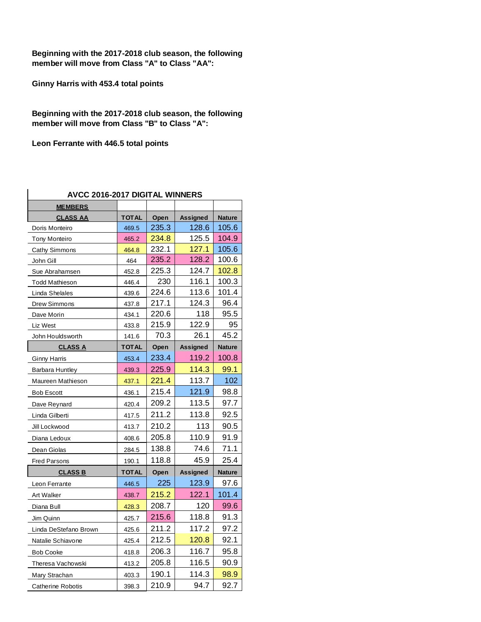**Beginning with the 2017-2018 club season, the following member will move from Class "A" to Class "AA":**

**Ginny Harris with 453.4 total points**

**Beginning with the 2017-2018 club season, the following member will move from Class "B" to Class "A":**

**Leon Ferrante with 446.5 total points**

| <b>AVCC 2016-2017 DIGITAL WINNERS</b> |              |       |                 |               |  |  |  |  |  |
|---------------------------------------|--------------|-------|-----------------|---------------|--|--|--|--|--|
| <b>MEMBERS</b>                        |              |       |                 |               |  |  |  |  |  |
| <b>CLASS AA</b>                       | <b>TOTAL</b> | Open  | Assigned        | <b>Nature</b> |  |  |  |  |  |
| Doris Monteiro                        | 469.5        | 235.3 | 128.6           | 105.6         |  |  |  |  |  |
| <b>Tony Monteiro</b>                  | 465.2        | 234.8 | 125.5           | 104.9         |  |  |  |  |  |
| Cathy Simmons                         | 464.8        | 232.1 | 127.1           | 105.6         |  |  |  |  |  |
| John Gill                             | 464          | 235.2 | 128.2           | 100.6         |  |  |  |  |  |
| Sue Abrahamsen                        | 452.8        | 225.3 | 124.7           | 102.8         |  |  |  |  |  |
| <b>Todd Mathieson</b>                 | 446.4        | 230   | 116.1           | 100.3         |  |  |  |  |  |
| Linda Shelales                        | 439.6        | 224.6 | 113.6           | 101.4         |  |  |  |  |  |
| Drew Simmons                          | 437.8        | 217.1 | 124.3           | 96.4          |  |  |  |  |  |
| Dave Morin                            | 434.1        | 220.6 | 118             | 95.5          |  |  |  |  |  |
| Liz West                              | 433.8        | 215.9 | 122.9           | 95            |  |  |  |  |  |
| John Houldsworth                      | 141.6        | 70.3  | 26.1            | 45.2          |  |  |  |  |  |
| <u>CLASS A</u>                        | <b>TOTAL</b> | Open  | <b>Assigned</b> | <b>Nature</b> |  |  |  |  |  |
| <b>Ginny Harris</b>                   | 453.4        | 233.4 | 119.2           | 100.8         |  |  |  |  |  |
| <b>Barbara Huntley</b>                | 439.3        | 225.9 | 114.3           | 99.1          |  |  |  |  |  |
| Maureen Mathieson                     | 437.1        | 221.4 | 113.7           | 102           |  |  |  |  |  |
| <b>Bob Escott</b>                     | 436.1        | 215.4 | 121.9           | 98.8          |  |  |  |  |  |
| Dave Reynard                          | 420.4        | 209.2 | 113.5           | 97.7          |  |  |  |  |  |
| Linda Gilberti                        | 417.5        | 211.2 | 113.8           | 92.5          |  |  |  |  |  |
| Jill Lockwood                         | 413.7        | 210.2 | 113             | 90.5          |  |  |  |  |  |
| Diana Ledoux                          | 408.6        | 205.8 | 110.9           | 91.9          |  |  |  |  |  |
| Dean Giolas                           | 284.5        | 138.8 | 74.6            | 71.1          |  |  |  |  |  |
| <b>Fred Parsons</b>                   | 190.1        | 118.8 | 45.9            | 25.4          |  |  |  |  |  |
| <b>CLASS B</b>                        | <b>TOTAL</b> | Open  | Assigned        | <b>Nature</b> |  |  |  |  |  |
| Leon Ferrante                         | 446.5        | 225   | 123.9           | 97.6          |  |  |  |  |  |
| Art Walker                            | 438.7        | 215.2 | 122.1           | 101.4         |  |  |  |  |  |
| Diana Bull                            | 428.3        | 208.7 | 120             | 99.6          |  |  |  |  |  |
| Jim Quinn                             | 425.7        | 215.6 | 118.8           | 91.3          |  |  |  |  |  |
| Linda DeStefano Brown                 | 425.6        | 211.2 | 117.2           | 97.2          |  |  |  |  |  |
| Natalie Schiavone                     | 425.4        | 212.5 | 120.8           | 92.1          |  |  |  |  |  |
| <b>Bob Cooke</b>                      | 418.8        | 206.3 | 116.7           | 95.8          |  |  |  |  |  |
| Theresa Vachowski                     | 413.2        | 205.8 | 116.5           | 90.9          |  |  |  |  |  |
| Mary Strachan                         | 403.3        | 190.1 | 114.3           | 98.9          |  |  |  |  |  |
| <b>Catherine Robotis</b>              | 398.3        | 210.9 | 94.7            | 92.7          |  |  |  |  |  |

#### **AVCC 2016-2017 DIGITAL WINNERS**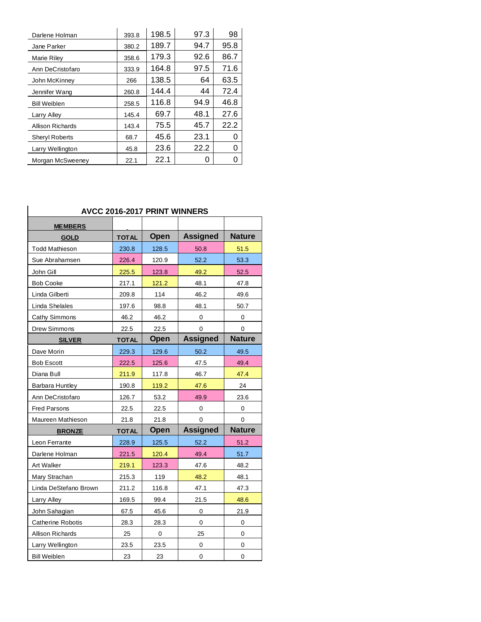| Darlene Holman        | 393.8 | 198.5 | 97.3 | 98   |
|-----------------------|-------|-------|------|------|
| Jane Parker           | 380.2 | 189.7 | 94.7 | 95.8 |
| Marie Riley           | 358.6 | 179.3 | 92.6 | 86.7 |
| Ann DeCristofaro      | 333.9 | 164.8 | 97.5 | 71.6 |
| John McKinney         | 266   | 138.5 | 64   | 63.5 |
| Jennifer Wang         | 260.8 | 144.4 | 44   | 72.4 |
| <b>Bill Weiblen</b>   | 258.5 | 116.8 | 94.9 | 46.8 |
| Larry Alley           | 145.4 | 69.7  | 48.1 | 27.6 |
| Allison Richards      | 143.4 | 75.5  | 45.7 | 22.2 |
| <b>Sheryl Roberts</b> | 68.7  | 45.6  | 23.1 | 0    |
| Larry Wellington      | 45.8  | 23.6  | 22.2 | O    |
| Morgan McSweeney      | 22.1  | 22.1  |      |      |

## **AVCC 2016-2017 PRINT WINNERS**

| <b>MEMBERS</b>           |              |             |                 |               |
|--------------------------|--------------|-------------|-----------------|---------------|
| <b>GOLD</b>              | <b>TOTAL</b> | Open        | <b>Assigned</b> | <b>Nature</b> |
| <b>Todd Mathieson</b>    | 230.8        | 128.5       | 50.8            | 51.5          |
| Sue Abrahamsen           | 226.4        | 120.9       | 52.2            | 53.3          |
| John Gill                | 225.5        | 123.8       | 49.2            | 52.5          |
| <b>Bob Cooke</b>         | 217.1        | 121.2       | 48.1            | 47.8          |
| Linda Gilberti           | 209.8        | 114         | 46.2            | 49.6          |
| Linda Shelales           | 197.6        | 98.8        | 48.1            | 50.7          |
| Cathy Simmons            | 46.2         | 46.2        | 0               | $\Omega$      |
| <b>Drew Simmons</b>      | 22.5         | 22.5        | 0               | 0             |
| <b>SILVER</b>            | <b>TOTAL</b> | <b>Open</b> | <b>Assigned</b> | <b>Nature</b> |
| Dave Morin               | 229.3        | 129.6       | 50.2            | 49.5          |
| <b>Bob Escott</b>        | 222.5        | 125.6       | 47.5            | 49.4          |
| Diana Bull               | 211.9        | 117.8       | 46.7            | 47.4          |
| Barbara Huntley          | 190.8        | 119.2       | 47.6            | 24            |
| Ann DeCristofaro         | 126.7        | 53.2        | 49.9            | 23.6          |
| <b>Fred Parsons</b>      | 22.5         | 22.5        | 0               | 0             |
| Maureen Mathieson        | 21.8         | 21.8        | 0               | 0             |
| <b>BRONZE</b>            | <b>TOTAL</b> | Open        | <b>Assigned</b> | <b>Nature</b> |
| Leon Ferrante            | 228.9        | 125.5       | 52.2            | 51.2          |
| Darlene Holman           | 221.5        | 120.4       | 49.4            | 51.7          |
| <b>Art Walker</b>        | 219.1        | 123.3       | 47.6            | 48.2          |
| Mary Strachan            | 215.3        | 119         | 48.2            | 48.1          |
| Linda DeStefano Brown    | 211.2        | 116.8       | 47.1            | 47.3          |
| Larry Alley              | 169.5        | 99.4        | 21.5            | 48.6          |
| John Sahagian            | 67.5         | 45.6        | 0               | 21.9          |
| <b>Catherine Robotis</b> | 28.3         | 28.3        | $\mathbf 0$     | 0             |
| <b>Allison Richards</b>  | 25           | 0           | 25              | 0             |
| Larry Wellington         | 23.5         | 23.5        | 0               | 0             |
| <b>Bill Weiblen</b>      | 23           | 23          | 0               | 0             |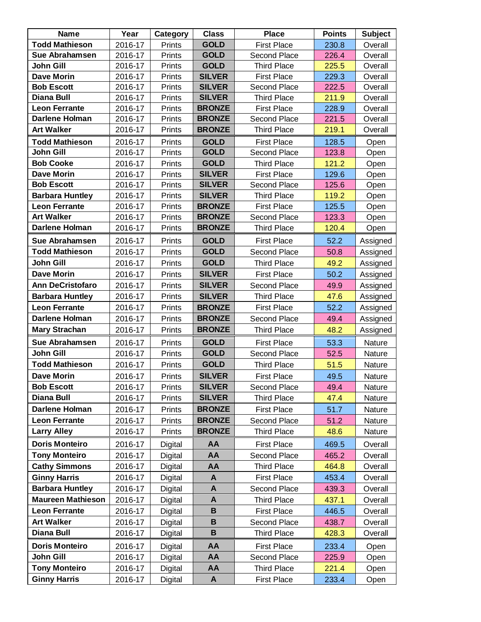| <b>Name</b>              | Year    | Category      | <b>Class</b>  | <b>Place</b>       | <b>Points</b> | <b>Subject</b> |
|--------------------------|---------|---------------|---------------|--------------------|---------------|----------------|
| <b>Todd Mathieson</b>    | 2016-17 | Prints        | <b>GOLD</b>   | <b>First Place</b> | 230.8         | Overall        |
| Sue Abrahamsen           | 2016-17 | Prints        | <b>GOLD</b>   | Second Place       | 226.4         | Overall        |
| John Gill                | 2016-17 | Prints        | <b>GOLD</b>   | <b>Third Place</b> | 225.5         | Overall        |
| <b>Dave Morin</b>        | 2016-17 | Prints        | <b>SILVER</b> | <b>First Place</b> | 229.3         | Overall        |
| <b>Bob Escott</b>        | 2016-17 | Prints        | <b>SILVER</b> | Second Place       | 222.5         | Overall        |
| <b>Diana Bull</b>        | 2016-17 | Prints        | <b>SILVER</b> | <b>Third Place</b> | 211.9         | Overall        |
| <b>Leon Ferrante</b>     | 2016-17 | Prints        | <b>BRONZE</b> | <b>First Place</b> | 228.9         | Overall        |
| <b>Darlene Holman</b>    | 2016-17 | Prints        | <b>BRONZE</b> | Second Place       | 221.5         | Overall        |
| <b>Art Walker</b>        | 2016-17 | Prints        | <b>BRONZE</b> | <b>Third Place</b> | 219.1         | Overall        |
| <b>Todd Mathieson</b>    | 2016-17 | Prints        | <b>GOLD</b>   | <b>First Place</b> | 128.5         | Open           |
| <b>John Gill</b>         | 2016-17 | Prints        | <b>GOLD</b>   | Second Place       | 123.8         | Open           |
| <b>Bob Cooke</b>         | 2016-17 | Prints        | <b>GOLD</b>   | <b>Third Place</b> | 121.2         | Open           |
| <b>Dave Morin</b>        | 2016-17 | Prints        | <b>SILVER</b> | <b>First Place</b> | 129.6         | Open           |
| <b>Bob Escott</b>        | 2016-17 | Prints        | <b>SILVER</b> | Second Place       | 125.6         | Open           |
| <b>Barbara Huntley</b>   | 2016-17 | Prints        | <b>SILVER</b> | <b>Third Place</b> | 119.2         | Open           |
| <b>Leon Ferrante</b>     | 2016-17 | Prints        | <b>BRONZE</b> | <b>First Place</b> | 125.5         | Open           |
| <b>Art Walker</b>        | 2016-17 | Prints        | <b>BRONZE</b> | Second Place       | 123.3         | Open           |
| <b>Darlene Holman</b>    | 2016-17 | Prints        | <b>BRONZE</b> | <b>Third Place</b> | 120.4         | Open           |
| Sue Abrahamsen           | 2016-17 | Prints        | <b>GOLD</b>   | <b>First Place</b> | 52.2          | Assigned       |
| <b>Todd Mathieson</b>    | 2016-17 | Prints        | <b>GOLD</b>   | Second Place       | 50.8          | Assigned       |
| John Gill                | 2016-17 | Prints        | <b>GOLD</b>   | <b>Third Place</b> | 49.2          | Assigned       |
| <b>Dave Morin</b>        | 2016-17 | Prints        | <b>SILVER</b> | <b>First Place</b> | 50.2          | Assigned       |
| <b>Ann DeCristofaro</b>  | 2016-17 | Prints        | <b>SILVER</b> | Second Place       | 49.9          | Assigned       |
| <b>Barbara Huntley</b>   | 2016-17 | Prints        | <b>SILVER</b> | <b>Third Place</b> | 47.6          | Assigned       |
| <b>Leon Ferrante</b>     | 2016-17 | Prints        | <b>BRONZE</b> | <b>First Place</b> | 52.2          | Assigned       |
| <b>Darlene Holman</b>    | 2016-17 | Prints        | <b>BRONZE</b> | Second Place       | 49.4          | Assigned       |
| <b>Mary Strachan</b>     | 2016-17 | Prints        | <b>BRONZE</b> | <b>Third Place</b> | 48.2          | Assigned       |
| Sue Abrahamsen           | 2016-17 | Prints        | <b>GOLD</b>   | <b>First Place</b> | 53.3          | Nature         |
| John Gill                | 2016-17 | Prints        | <b>GOLD</b>   | Second Place       | 52.5          | Nature         |
| <b>Todd Mathieson</b>    | 2016-17 | Prints        | <b>GOLD</b>   | <b>Third Place</b> | 51.5          | Nature         |
| <b>Dave Morin</b>        | 2016-17 | Prints        | <b>SILVER</b> | <b>First Place</b> | 49.5          | Nature         |
| <b>Bob Escott</b>        | 2016-17 | Prints        | <b>SILVER</b> | Second Place       | 49.4          | Nature         |
| <b>Diana Bull</b>        | 2016-17 | Prints        | <b>SILVER</b> | <b>Third Place</b> | 47.4          | Nature         |
| <b>Darlene Holman</b>    | 2016-17 | Prints        | <b>BRONZE</b> | <b>First Place</b> | 51.7          | Nature         |
| <b>Leon Ferrante</b>     | 2016-17 | <b>Prints</b> | <b>BRONZE</b> | Second Place       | 51.2          | Nature         |
| <b>Larry Alley</b>       | 2016-17 | Prints        | <b>BRONZE</b> | <b>Third Place</b> | 48.6          | Nature         |
| <b>Doris Monteiro</b>    | 2016-17 | Digital       | AA            | <b>First Place</b> | 469.5         | Overall        |
| <b>Tony Monteiro</b>     | 2016-17 | Digital       | AA            | Second Place       | 465.2         | Overall        |
| <b>Cathy Simmons</b>     | 2016-17 | Digital       | AA            | <b>Third Place</b> | 464.8         | Overall        |
| <b>Ginny Harris</b>      | 2016-17 | Digital       | A             | <b>First Place</b> | 453.4         | Overall        |
| <b>Barbara Huntley</b>   | 2016-17 | Digital       | A             | Second Place       | 439.3         | Overall        |
| <b>Maureen Mathieson</b> | 2016-17 | Digital       | A             | Third Place        | 437.1         | Overall        |
| <b>Leon Ferrante</b>     | 2016-17 | Digital       | B             | <b>First Place</b> | 446.5         | Overall        |
| <b>Art Walker</b>        | 2016-17 | Digital       | B             | Second Place       | 438.7         | Overall        |
| <b>Diana Bull</b>        | 2016-17 | Digital       | В             | Third Place        | 428.3         | Overall        |
| <b>Doris Monteiro</b>    | 2016-17 | Digital       | AA            | <b>First Place</b> | 233.4         | Open           |
| <b>John Gill</b>         | 2016-17 | Digital       | AA            | Second Place       | 225.9         | Open           |
| <b>Tony Monteiro</b>     | 2016-17 | Digital       | AA            | <b>Third Place</b> | 221.4         | Open           |
| <b>Ginny Harris</b>      | 2016-17 | Digital       | A             | <b>First Place</b> | 233.4         | Open           |
|                          |         |               |               |                    |               |                |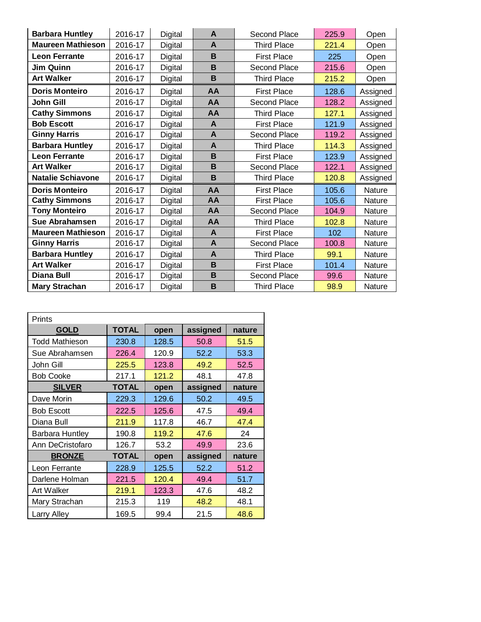| <b>Barbara Huntley</b>   | 2016-17 | Digital | A                        | Second Place       |       | Open     |
|--------------------------|---------|---------|--------------------------|--------------------|-------|----------|
| <b>Maureen Mathieson</b> | 2016-17 | Digital | A<br><b>Third Place</b>  |                    | 221.4 | Open     |
| <b>Leon Ferrante</b>     | 2016-17 | Digital | B<br><b>First Place</b>  |                    | 225   | Open     |
| Jim Quinn                | 2016-17 | Digital | B<br>Second Place        |                    | 215.6 | Open     |
| <b>Art Walker</b>        | 2016-17 | Digital | B<br><b>Third Place</b>  |                    | 215.2 | Open     |
| <b>Doris Monteiro</b>    | 2016-17 | Digital | AA                       | <b>First Place</b> | 128.6 | Assigned |
| <b>John Gill</b>         | 2016-17 | Digital | AA<br>Second Place       |                    | 128.2 | Assigned |
| <b>Cathy Simmons</b>     | 2016-17 | Digital | AA<br><b>Third Place</b> |                    | 127.1 | Assigned |
| <b>Bob Escott</b>        | 2016-17 | Digital | $\mathbf{A}$             | <b>First Place</b> | 121.9 | Assigned |
| <b>Ginny Harris</b>      | 2016-17 | Digital | A                        | Second Place       | 119.2 | Assigned |
| <b>Barbara Huntley</b>   | 2016-17 | Digital | $\mathbf{A}$             | <b>Third Place</b> | 114.3 | Assigned |
| <b>Leon Ferrante</b>     | 2016-17 | Digital | B                        | <b>First Place</b> | 123.9 | Assigned |
| <b>Art Walker</b>        | 2016-17 | Digital | B                        | Second Place       | 122.1 | Assigned |
| <b>Natalie Schiavone</b> | 2016-17 | Digital | B                        | <b>Third Place</b> | 120.8 | Assigned |
| <b>Doris Monteiro</b>    | 2016-17 | Digital | AA                       | <b>First Place</b> | 105.6 | Nature   |
| <b>Cathy Simmons</b>     | 2016-17 | Digital | AA                       | <b>First Place</b> | 105.6 | Nature   |
| <b>Tony Monteiro</b>     | 2016-17 | Digital | AA                       | Second Place       | 104.9 | Nature   |
| <b>Sue Abrahamsen</b>    | 2016-17 | Digital | AA                       | <b>Third Place</b> | 102.8 | Nature   |
| <b>Maureen Mathieson</b> | 2016-17 | Digital | A                        | <b>First Place</b> | 102   | Nature   |
| <b>Ginny Harris</b>      | 2016-17 | Digital | A                        | Second Place       | 100.8 | Nature   |
| <b>Barbara Huntley</b>   | 2016-17 | Digital | A                        | <b>Third Place</b> | 99.1  | Nature   |
| <b>Art Walker</b>        | 2016-17 | Digital | B                        | <b>First Place</b> | 101.4 | Nature   |
| <b>Diana Bull</b>        | 2016-17 | Digital | B                        | Second Place       | 99.6  | Nature   |
| <b>Mary Strachan</b>     | 2016-17 | Digital | B                        | <b>Third Place</b> | 98.9  | Nature   |

| Prints                        |              |       |          |        |  |  |  |
|-------------------------------|--------------|-------|----------|--------|--|--|--|
| <b>GOLD</b>                   | <b>TOTAL</b> | open  | assigned | nature |  |  |  |
| <b>Todd Mathieson</b>         | 230.8        | 128.5 | 50.8     | 51.5   |  |  |  |
| Sue Abrahamsen                | 226.4        | 120.9 | 52.2     | 53.3   |  |  |  |
| John Gill                     | 225.5        | 123.8 | 49.2     | 52.5   |  |  |  |
| <b>Bob Cooke</b>              | 217.1        | 121.2 | 48.1     | 47.8   |  |  |  |
| <b>TOTAL</b><br><b>SILVER</b> |              | open  | assigned | nature |  |  |  |
| Dave Morin                    | 229.3        | 129.6 | 50.2     | 49.5   |  |  |  |
| <b>Bob Escott</b>             | 222.5        | 125.6 | 47.5     | 49.4   |  |  |  |
| Diana Bull                    | 211.9        | 117.8 | 46.7     | 47.4   |  |  |  |
| <b>Barbara Huntley</b>        | 190.8        | 119.2 | 47.6     | 24     |  |  |  |
| Ann DeCristofaro              | 126.7        | 53.2  | 49.9     | 23.6   |  |  |  |
| <b>TOTAL</b><br><b>BRONZE</b> |              | open  | assigned | nature |  |  |  |
| Leon Ferrante                 | 228.9        | 125.5 | 52.2     | 51.2   |  |  |  |
| Darlene Holman                | 221.5        | 120.4 | 49.4     | 51.7   |  |  |  |
| Art Walker                    | 219.1        | 123.3 | 47.6     | 48.2   |  |  |  |
| Mary Strachan                 | 215.3        | 119   | 48.2     | 48.1   |  |  |  |
| Larry Alley                   | 169.5        | 99.4  | 21.5     | 48.6   |  |  |  |